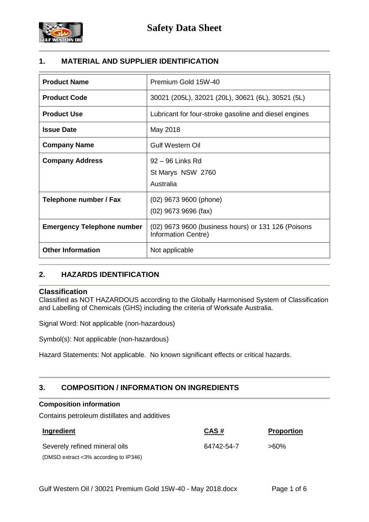

# **1. MATERIAL AND SUPPLIER IDENTIFICATION**

| <b>Product Name</b>               | Premium Gold 15W-40                                                        |
|-----------------------------------|----------------------------------------------------------------------------|
| <b>Product Code</b>               | 30021 (205L), 32021 (20L), 30621 (6L), 30521 (5L)                          |
| <b>Product Use</b>                | Lubricant for four-stroke gasoline and diesel engines                      |
| <b>Issue Date</b>                 | May 2018                                                                   |
| <b>Company Name</b>               | <b>Gulf Western Oil</b>                                                    |
| <b>Company Address</b>            | 92 – 96 Links Rd<br>St Marys NSW 2760<br>Australia                         |
| Telephone number / Fax            | (02) 9673 9600 (phone)<br>$(02)$ 9673 9696 (fax)                           |
| <b>Emergency Telephone number</b> | (02) 9673 9600 (business hours) or 131 126 (Poisons<br>Information Centre) |
| <b>Other Information</b>          | Not applicable                                                             |

# **2. HAZARDS IDENTIFICATION**

# **Classification**

Classified as NOT HAZARDOUS according to the Globally Harmonised System of Classification and Labelling of Chemicals (GHS) including the criteria of Worksafe Australia.

Signal Word: Not applicable (non-hazardous)

Symbol(s): Not applicable (non-hazardous)

Hazard Statements: Not applicable. No known significant effects or critical hazards.

# **3. COMPOSITION / INFORMATION ON INGREDIENTS**

# **Composition information**

Contains petroleum distillates and additives

| Ingredient                            | CAS#       | <b>Proportion</b> |
|---------------------------------------|------------|-------------------|
| Severely refined mineral oils         | 64742-54-7 | >60%              |
| (DMSO extract <3% according to IP346) |            |                   |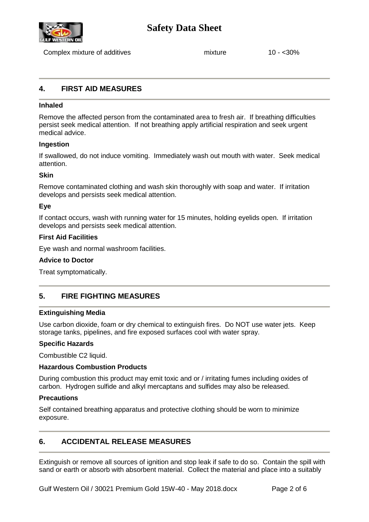

# **Safety Data Sheet**

Complex mixture of additives mixture 10 - <30%

# **4. FIRST AID MEASURES**

## **Inhaled**

Remove the affected person from the contaminated area to fresh air. If breathing difficulties persist seek medical attention. If not breathing apply artificial respiration and seek urgent medical advice.

### **Ingestion**

If swallowed, do not induce vomiting. Immediately wash out mouth with water. Seek medical attention.

### **Skin**

Remove contaminated clothing and wash skin thoroughly with soap and water. If irritation develops and persists seek medical attention.

### **Eye**

If contact occurs, wash with running water for 15 minutes, holding eyelids open. If irritation develops and persists seek medical attention.

### **First Aid Facilities**

Eye wash and normal washroom facilities.

#### **Advice to Doctor**

Treat symptomatically.

# **5. FIRE FIGHTING MEASURES**

#### **Extinguishing Media**

Use carbon dioxide, foam or dry chemical to extinguish fires. Do NOT use water jets. Keep storage tanks, pipelines, and fire exposed surfaces cool with water spray.

#### **Specific Hazards**

Combustible C2 liquid.

#### **Hazardous Combustion Products**

During combustion this product may emit toxic and or / irritating fumes including oxides of carbon. Hydrogen sulfide and alkyl mercaptans and sulfides may also be released.

#### **Precautions**

Self contained breathing apparatus and protective clothing should be worn to minimize exposure.

# **6. ACCIDENTAL RELEASE MEASURES**

Extinguish or remove all sources of ignition and stop leak if safe to do so. Contain the spill with sand or earth or absorb with absorbent material. Collect the material and place into a suitably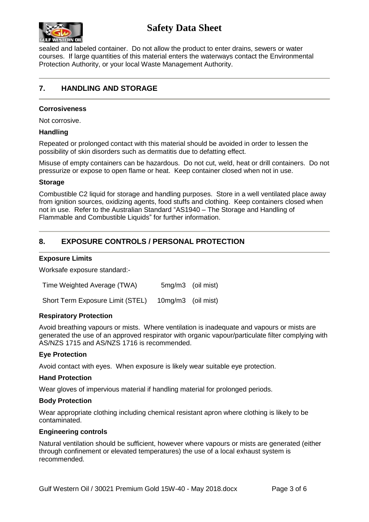

sealed and labeled container. Do not allow the product to enter drains, sewers or water courses. If large quantities of this material enters the waterways contact the Environmental Protection Authority, or your local Waste Management Authority.

# **7. HANDLING AND STORAGE**

## **Corrosiveness**

Not corrosive.

### **Handling**

Repeated or prolonged contact with this material should be avoided in order to lessen the possibility of skin disorders such as dermatitis due to defatting effect.

Misuse of empty containers can be hazardous. Do not cut, weld, heat or drill containers. Do not pressurize or expose to open flame or heat. Keep container closed when not in use.

### **Storage**

Combustible C2 liquid for storage and handling purposes. Store in a well ventilated place away from ignition sources, oxidizing agents, food stuffs and clothing. Keep containers closed when not in use. Refer to the Australian Standard "AS1940 – The Storage and Handling of Flammable and Combustible Liquids" for further information.

# **8. EXPOSURE CONTROLS / PERSONAL PROTECTION**

### **Exposure Limits**

Worksafe exposure standard:-

| Time Weighted Average (TWA)      |                    | 5mg/m3 (oil mist) |
|----------------------------------|--------------------|-------------------|
| Short Term Exposure Limit (STEL) | 10mg/m3 (oil mist) |                   |

#### **Respiratory Protection**

Avoid breathing vapours or mists. Where ventilation is inadequate and vapours or mists are generated the use of an approved respirator with organic vapour/particulate filter complying with AS/NZS 1715 and AS/NZS 1716 is recommended.

# **Eye Protection**

Avoid contact with eyes. When exposure is likely wear suitable eye protection.

#### **Hand Protection**

Wear gloves of impervious material if handling material for prolonged periods.

#### **Body Protection**

Wear appropriate clothing including chemical resistant apron where clothing is likely to be contaminated.

# **Engineering controls**

Natural ventilation should be sufficient, however where vapours or mists are generated (either through confinement or elevated temperatures) the use of a local exhaust system is recommended.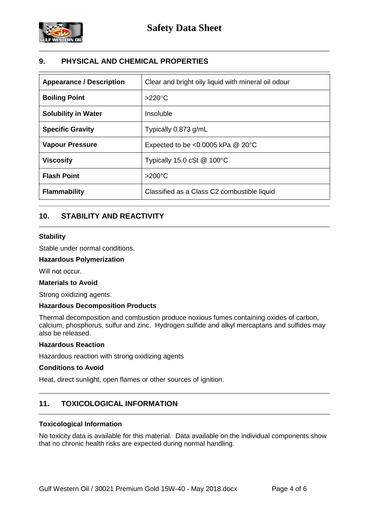

# **9. PHYSICAL AND CHEMICAL PROPERTIES**

| <b>Appearance / Description</b> | Clear and bright oily liquid with mineral oil odour |
|---------------------------------|-----------------------------------------------------|
| <b>Boiling Point</b>            | $>220^{\circ}$ C                                    |
| <b>Solubility in Water</b>      | Insoluble                                           |
| <b>Specific Gravity</b>         | Typically 0.873 g/mL                                |
| <b>Vapour Pressure</b>          | Expected to be <0.0005 kPa $@$ 20 $°C$              |
| <b>Viscosity</b>                | Typically 15.0 cSt $@$ 100 $°C$                     |
| <b>Flash Point</b>              | $>200^{\circ}$ C                                    |
| <b>Flammability</b>             | Classified as a Class C2 combustible liquid         |

# **10. STABILITY AND REACTIVITY**

# **Stability**

Stable under normal conditions.

# **Hazardous Polymerization**

Will not occur.

#### **Materials to Avoid**

Strong oxidizing agents.

# **Hazardous Decomposition Products**

Thermal decomposition and combustion produce noxious fumes containing oxides of carbon, calcium, phosphorus, sulfur and zinc. Hydrogen sulfide and alkyl mercaptans and sulfides may also be released.

# **Hazardous Reaction**

Hazardous reaction with strong oxidizing agents

#### **Conditions to Avoid**

Heat, direct sunlight, open flames or other sources of ignition.

# **11. TOXICOLOGICAL INFORMATION**

#### **Toxicological Information**

No toxicity data is available for this material. Data available on the individual components show that no chronic health risks are expected during normal handling.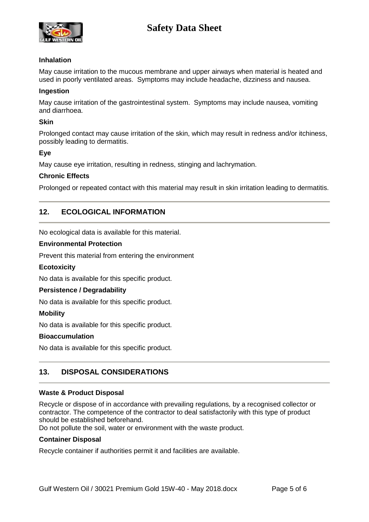# **Safety Data Sheet**



# **Inhalation**

May cause irritation to the mucous membrane and upper airways when material is heated and used in poorly ventilated areas. Symptoms may include headache, dizziness and nausea.

#### **Ingestion**

May cause irritation of the gastrointestinal system. Symptoms may include nausea, vomiting and diarrhoea.

#### **Skin**

Prolonged contact may cause irritation of the skin, which may result in redness and/or itchiness, possibly leading to dermatitis.

### **Eye**

May cause eye irritation, resulting in redness, stinging and lachrymation.

### **Chronic Effects**

Prolonged or repeated contact with this material may result in skin irritation leading to dermatitis.

# **12. ECOLOGICAL INFORMATION**

No ecological data is available for this material.

### **Environmental Protection**

Prevent this material from entering the environment

# **Ecotoxicity**

No data is available for this specific product.

# **Persistence / Degradability**

No data is available for this specific product.

# **Mobility**

No data is available for this specific product.

#### **Bioaccumulation**

No data is available for this specific product.

# **13. DISPOSAL CONSIDERATIONS**

#### **Waste & Product Disposal**

Recycle or dispose of in accordance with prevailing regulations, by a recognised collector or contractor. The competence of the contractor to deal satisfactorily with this type of product should be established beforehand.

Do not pollute the soil, water or environment with the waste product.

## **Container Disposal**

Recycle container if authorities permit it and facilities are available.